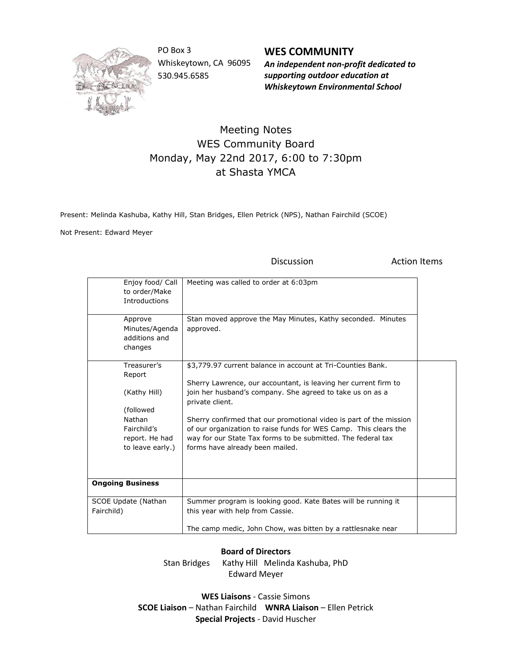

PO Box 3 Whiskeytown, CA 96095 530.945.6585

**WES COMMUNITY** *An independent non-profit dedicated to supporting outdoor education at Whiskeytown Environmental School*

## Meeting Notes WES Community Board Monday, May 22nd 2017, 6:00 to 7:30pm at Shasta YMCA

Present: Melinda Kashuba, Kathy Hill, Stan Bridges, Ellen Petrick (NPS), Nathan Fairchild (SCOE)

Not Present: Edward Meyer

Discussion **Action** Items

| Enjoy food/ Call<br>to order/Make<br><b>Introductions</b>   | Meeting was called to order at 6:03pm                                                                                                                                                                                                     |  |
|-------------------------------------------------------------|-------------------------------------------------------------------------------------------------------------------------------------------------------------------------------------------------------------------------------------------|--|
| Approve<br>Minutes/Agenda<br>additions and<br>changes       | Stan moved approve the May Minutes, Kathy seconded. Minutes<br>approved.                                                                                                                                                                  |  |
| Treasurer's<br>Report                                       | \$3,779.97 current balance in account at Tri-Counties Bank.                                                                                                                                                                               |  |
| (Kathy Hill)<br>(followed)                                  | Sherry Lawrence, our accountant, is leaving her current firm to<br>join her husband's company. She agreed to take us on as a<br>private client.                                                                                           |  |
| Nathan<br>Fairchild's<br>report. He had<br>to leave early.) | Sherry confirmed that our promotional video is part of the mission<br>of our organization to raise funds for WES Camp. This clears the<br>way for our State Tax forms to be submitted. The federal tax<br>forms have already been mailed. |  |
| <b>Ongoing Business</b>                                     |                                                                                                                                                                                                                                           |  |
| SCOE Update (Nathan<br>Fairchild)                           | Summer program is looking good. Kate Bates will be running it<br>this year with help from Cassie.<br>The camp medic, John Chow, was bitten by a rattlesnake near                                                                          |  |
|                                                             |                                                                                                                                                                                                                                           |  |

## **Board of Directors**

Stan Bridges Kathy Hill Melinda Kashuba, PhD Edward Meyer

**WES Liaisons** - Cassie Simons **SCOE Liaison** – Nathan Fairchild **WNRA Liaison** – Ellen Petrick **Special Projects** - David Huscher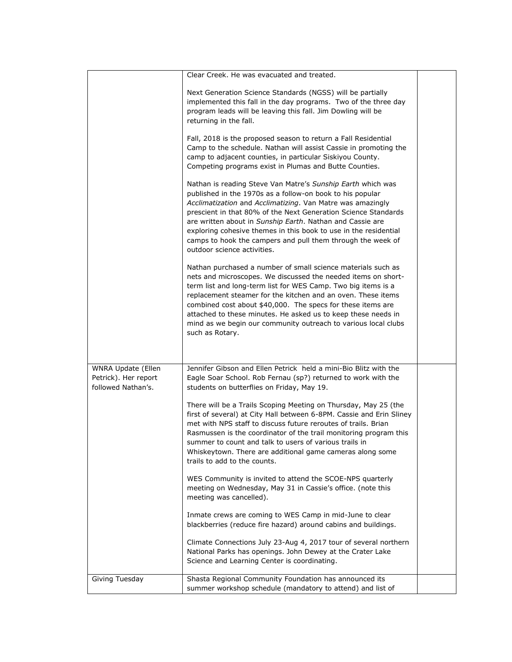|                                                                  | Clear Creek. He was evacuated and treated.                                                                                                                                                                                                                                                                                                                                                                                                                                              |  |
|------------------------------------------------------------------|-----------------------------------------------------------------------------------------------------------------------------------------------------------------------------------------------------------------------------------------------------------------------------------------------------------------------------------------------------------------------------------------------------------------------------------------------------------------------------------------|--|
|                                                                  | Next Generation Science Standards (NGSS) will be partially<br>implemented this fall in the day programs. Two of the three day<br>program leads will be leaving this fall. Jim Dowling will be<br>returning in the fall.                                                                                                                                                                                                                                                                 |  |
|                                                                  | Fall, 2018 is the proposed season to return a Fall Residential<br>Camp to the schedule. Nathan will assist Cassie in promoting the<br>camp to adjacent counties, in particular Siskiyou County.<br>Competing programs exist in Plumas and Butte Counties.                                                                                                                                                                                                                               |  |
|                                                                  | Nathan is reading Steve Van Matre's Sunship Earth which was<br>published in the 1970s as a follow-on book to his popular<br>Acclimatization and Acclimatizing. Van Matre was amazingly<br>prescient in that 80% of the Next Generation Science Standards<br>are written about in Sunship Earth. Nathan and Cassie are<br>exploring cohesive themes in this book to use in the residential<br>camps to hook the campers and pull them through the week of<br>outdoor science activities. |  |
|                                                                  | Nathan purchased a number of small science materials such as<br>nets and microscopes. We discussed the needed items on short-<br>term list and long-term list for WES Camp. Two big items is a<br>replacement steamer for the kitchen and an oven. These items<br>combined cost about \$40,000. The specs for these items are<br>attached to these minutes. He asked us to keep these needs in<br>mind as we begin our community outreach to various local clubs<br>such as Rotary.     |  |
|                                                                  |                                                                                                                                                                                                                                                                                                                                                                                                                                                                                         |  |
| WNRA Update (Ellen<br>Petrick). Her report<br>followed Nathan's. | Jennifer Gibson and Ellen Petrick held a mini-Bio Blitz with the<br>Eagle Soar School. Rob Fernau (sp?) returned to work with the<br>students on butterflies on Friday, May 19.                                                                                                                                                                                                                                                                                                         |  |
|                                                                  | There will be a Trails Scoping Meeting on Thursday, May 25 (the<br>first of several) at City Hall between 6-8PM. Cassie and Erin Sliney<br>met with NPS staff to discuss future reroutes of trails. Brian<br>Rasmussen is the coordinator of the trail monitoring program this<br>summer to count and talk to users of various trails in<br>Whiskeytown. There are additional game cameras along some<br>trails to add to the counts.                                                   |  |
|                                                                  | WES Community is invited to attend the SCOE-NPS quarterly<br>meeting on Wednesday, May 31 in Cassie's office. (note this<br>meeting was cancelled).                                                                                                                                                                                                                                                                                                                                     |  |
|                                                                  | Inmate crews are coming to WES Camp in mid-June to clear<br>blackberries (reduce fire hazard) around cabins and buildings.                                                                                                                                                                                                                                                                                                                                                              |  |
|                                                                  | Climate Connections July 23-Aug 4, 2017 tour of several northern<br>National Parks has openings. John Dewey at the Crater Lake<br>Science and Learning Center is coordinating.                                                                                                                                                                                                                                                                                                          |  |
| Giving Tuesday                                                   | Shasta Regional Community Foundation has announced its<br>summer workshop schedule (mandatory to attend) and list of                                                                                                                                                                                                                                                                                                                                                                    |  |